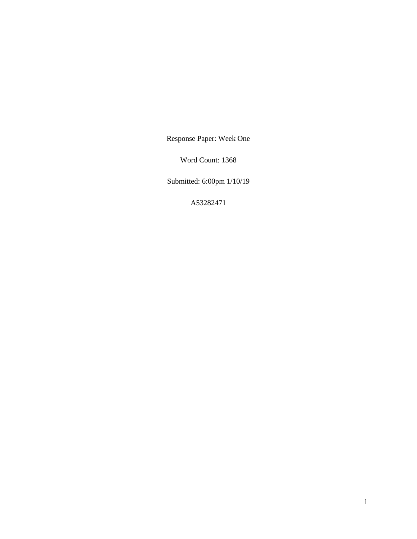Response Paper: Week One

Word Count: 1368

Submitted: 6:00pm 1/10/19

A53282471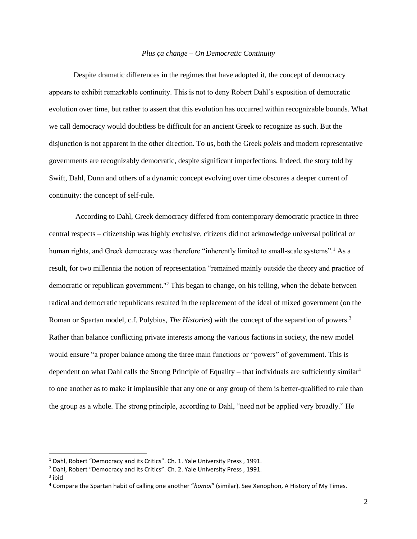## *Plus ça change – On Democratic Continuity*

Despite dramatic differences in the regimes that have adopted it, the concept of democracy appears to exhibit remarkable continuity. This is not to deny Robert Dahl's exposition of democratic evolution over time, but rather to assert that this evolution has occurred within recognizable bounds. What we call democracy would doubtless be difficult for an ancient Greek to recognize as such. But the disjunction is not apparent in the other direction. To us, both the Greek *poleis* and modern representative governments are recognizably democratic, despite significant imperfections. Indeed, the story told by Swift, Dahl, Dunn and others of a dynamic concept evolving over time obscures a deeper current of continuity: the concept of self-rule.

According to Dahl, Greek democracy differed from contemporary democratic practice in three central respects – citizenship was highly exclusive, citizens did not acknowledge universal political or human rights, and Greek democracy was therefore "inherently limited to small-scale systems".<sup>1</sup> As a result, for two millennia the notion of representation "remained mainly outside the theory and practice of democratic or republican government."<sup>2</sup> This began to change, on his telling, when the debate between radical and democratic republicans resulted in the replacement of the ideal of mixed government (on the Roman or Spartan model, c.f. Polybius, *The Histories*) with the concept of the separation of powers.<sup>3</sup> Rather than balance conflicting private interests among the various factions in society, the new model would ensure "a proper balance among the three main functions or "powers" of government. This is dependent on what Dahl calls the Strong Principle of Equality – that individuals are sufficiently similar<sup>4</sup> to one another as to make it implausible that any one or any group of them is better-qualified to rule than the group as a whole. The strong principle, according to Dahl, "need not be applied very broadly." He

l

 $1$  Dahl, Robert "Democracy and its Critics". Ch. 1. Yale University Press, 1991.

<sup>&</sup>lt;sup>2</sup> Dahl, Robert "Democracy and its Critics". Ch. 2. Yale University Press, 1991.

 $3$  ibid

<sup>4</sup> Compare the Spartan habit of calling one another "*homoi*" (similar). See Xenophon, A History of My Times.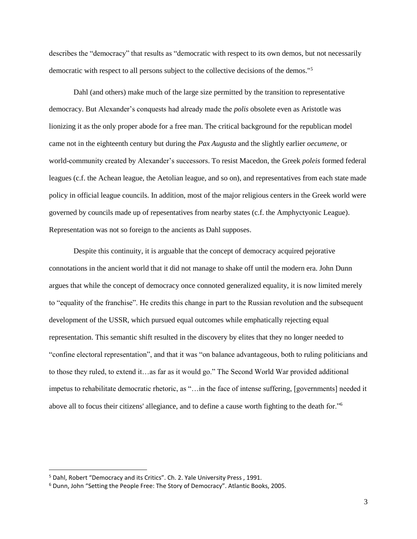describes the "democracy" that results as "democratic with respect to its own demos, but not necessarily democratic with respect to all persons subject to the collective decisions of the demos."<sup>5</sup>

Dahl (and others) make much of the large size permitted by the transition to representative democracy. But Alexander's conquests had already made the *polis* obsolete even as Aristotle was lionizing it as the only proper abode for a free man. The critical background for the republican model came not in the eighteenth century but during the *Pax Augusta* and the slightly earlier *oecumene*, or world-community created by Alexander's successors. To resist Macedon, the Greek *poleis* formed federal leagues (c.f. the Achean league, the Aetolian league, and so on), and representatives from each state made policy in official league councils. In addition, most of the major religious centers in the Greek world were governed by councils made up of repesentatives from nearby states (c.f. the Amphyctyonic League). Representation was not so foreign to the ancients as Dahl supposes.

Despite this continuity, it is arguable that the concept of democracy acquired pejorative connotations in the ancient world that it did not manage to shake off until the modern era. John Dunn argues that while the concept of democracy once connoted generalized equality, it is now limited merely to "equality of the franchise". He credits this change in part to the Russian revolution and the subsequent development of the USSR, which pursued equal outcomes while emphatically rejecting equal representation. This semantic shift resulted in the discovery by elites that they no longer needed to "confine electoral representation", and that it was "on balance advantageous, both to ruling politicians and to those they ruled, to extend it…as far as it would go." The Second World War provided additional impetus to rehabilitate democratic rhetoric, as "…in the face of intense suffering, [governments] needed it above all to focus their citizens' allegiance, and to define a cause worth fighting to the death for."<sup>6</sup>

 $\overline{\phantom{a}}$ 

<sup>&</sup>lt;sup>5</sup> Dahl, Robert "Democracy and its Critics". Ch. 2. Yale University Press, 1991.

<sup>6</sup> Dunn, John "Setting the People Free: The Story of Democracy". Atlantic Books, 2005.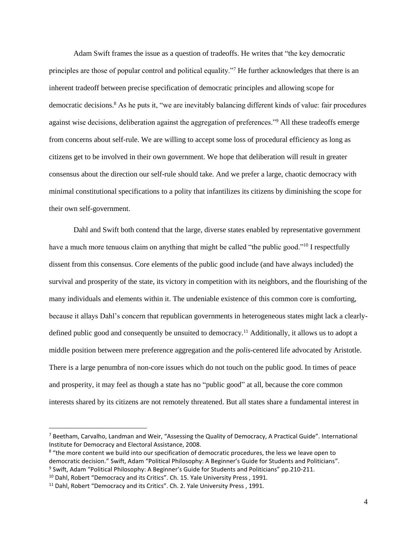Adam Swift frames the issue as a question of tradeoffs. He writes that "the key democratic principles are those of popular control and political equality."<sup>7</sup> He further acknowledges that there is an inherent tradeoff between precise specification of democratic principles and allowing scope for democratic decisions.<sup>8</sup> As he puts it, "we are inevitably balancing different kinds of value: fair procedures against wise decisions, deliberation against the aggregation of preferences."<sup>9</sup> All these tradeoffs emerge from concerns about self-rule. We are willing to accept some loss of procedural efficiency as long as citizens get to be involved in their own government. We hope that deliberation will result in greater consensus about the direction our self-rule should take. And we prefer a large, chaotic democracy with minimal constitutional specifications to a polity that infantilizes its citizens by diminishing the scope for their own self-government.

Dahl and Swift both contend that the large, diverse states enabled by representative government have a much more tenuous claim on anything that might be called "the public good."<sup>10</sup> I respectfully dissent from this consensus. Core elements of the public good include (and have always included) the survival and prosperity of the state, its victory in competition with its neighbors, and the flourishing of the many individuals and elements within it. The undeniable existence of this common core is comforting, because it allays Dahl's concern that republican governments in heterogeneous states might lack a clearlydefined public good and consequently be unsuited to democracy.<sup>11</sup> Additionally, it allows us to adopt a middle position between mere preference aggregation and the *polis*-centered life advocated by Aristotle. There is a large penumbra of non-core issues which do not touch on the public good. In times of peace and prosperity, it may feel as though a state has no "public good" at all, because the core common interests shared by its citizens are not remotely threatened. But all states share a fundamental interest in

 $\overline{\phantom{a}}$ 

<sup>7</sup> Beetham, Carvalho, Landman and Weir, "Assessing the Quality of Democracy, A Practical Guide". International Institute for Democracy and Electoral Assistance, 2008.

<sup>&</sup>lt;sup>8</sup> "the more content we build into our specification of democratic procedures, the less we leave open to democratic decision." Swift, Adam "Political Philosophy: A Beginner's Guide for Students and Politicians". <sup>9</sup> Swift, Adam "Political Philosophy: A Beginner's Guide for Students and Politicians" pp.210-211.

 $10$  Dahl, Robert "Democracy and its Critics". Ch. 15. Yale University Press, 1991.

<sup>&</sup>lt;sup>11</sup> Dahl, Robert "Democracy and its Critics". Ch. 2. Yale University Press, 1991.